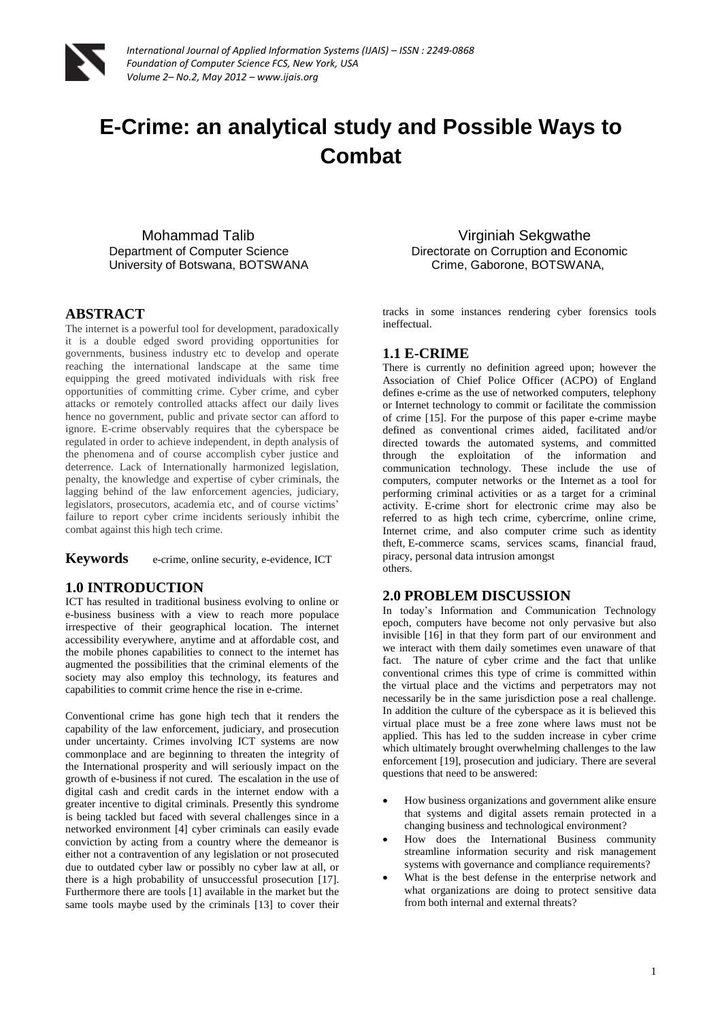

*International Journal of Applied Information Systems (IJAIS) – ISSN : 2249-0868 Foundation of Computer Science FCS, New York, USA Volume 2– No.2, May 2012 – www.ijais.org*

# **E-Crime: an analytical study and Possible Ways to Combat**

Mohammad Talib Virginiah Sekgwathe University of Botswana, BOTSWANA Crime, Gaborone, BOTSWANA,

#### **ABSTRACT**

The internet is a powerful tool for development, paradoxically it is a double edged sword providing opportunities for governments, business industry etc to develop and operate reaching the international landscape at the same time equipping the greed motivated individuals with risk free opportunities of committing crime. Cyber crime, and cyber attacks or remotely controlled attacks affect our daily lives hence no government, public and private sector can afford to ignore. E-crime observably requires that the cyberspace be regulated in order to achieve independent, in depth analysis of the phenomena and of course accomplish cyber justice and deterrence. Lack of Internationally harmonized legislation, penalty, the knowledge and expertise of cyber criminals, the lagging behind of the law enforcement agencies, judiciary, legislators, prosecutors, academia etc, and of course victims' failure to report cyber crime incidents seriously inhibit the combat against this high tech crime.

**Keywords** e-crime, online security, e-evidence, ICT

#### **1.0 INTRODUCTION**

ICT has resulted in traditional business evolving to online or e-business business with a view to reach more populace irrespective of their geographical location. The internet accessibility everywhere, anytime and at affordable cost, and the mobile phones capabilities to connect to the internet has augmented the possibilities that the criminal elements of the society may also employ this technology, its features and capabilities to commit crime hence the rise in e-crime.

Conventional crime has gone high tech that it renders the capability of the law enforcement, judiciary, and prosecution under uncertainty. Crimes involving ICT systems are now commonplace and are beginning to threaten the integrity of the International prosperity and will seriously impact on the growth of e-business if not cured. The escalation in the use of digital cash and credit cards in the internet endow with a greater incentive to digital criminals. Presently this syndrome is being tackled but faced with several challenges since in a networked environment [4] cyber criminals can easily evade conviction by acting from a country where the demeanor is either not a contravention of any legislation or not prosecuted due to outdated cyber law or possibly no cyber law at all, or there is a high probability of unsuccessful prosecution [17]. Furthermore there are tools [1] available in the market but the same tools maybe used by the criminals [13] to cover their

Department of Computer Science **Directorate Directorate on Corruption and Economic** 

tracks in some instances rendering cyber forensics tools ineffectual.

#### **1.1 E-CRIME**

There is currently no definition agreed upon; however the Association of Chief Police Officer (ACPO) of England defines e-crime as the use of networked computers, telephony or Internet technology to commit or facilitate the commission of crime [15]. For the purpose of this paper e-crime maybe defined as conventional crimes aided, facilitated and/or directed towards the automated systems, and committed through the exploitation of the information and communication technology. These include the use of computers, computer networks or the Internet as a tool for performing criminal activities or as a target for a criminal activity. E-crime short for electronic crime may also be referred to as high tech crime, cybercrime, online crime, Internet crime, and also computer crime such as identity theft, E-commerce scams, services scams, financial fraud, piracy, personal data intrusion amongst others.

### **2.0 PROBLEM DISCUSSION**

In today's Information and Communication Technology epoch, computers have become not only pervasive but also invisible [16] in that they form part of our environment and we interact with them daily sometimes even unaware of that fact. The nature of cyber crime and the fact that unlike conventional crimes this type of crime is committed within the virtual place and the victims and perpetrators may not necessarily be in the same jurisdiction pose a real challenge. In addition the culture of the cyberspace as it is believed this virtual place must be a free zone where laws must not be applied. This has led to the sudden increase in cyber crime which ultimately brought overwhelming challenges to the law enforcement [19], prosecution and judiciary. There are several questions that need to be answered:

- How business organizations and government alike ensure that systems and digital assets remain protected in a changing business and technological environment?
- How does the International Business community streamline information security and risk management systems with governance and compliance requirements?
- What is the best defense in the enterprise network and what organizations are doing to protect sensitive data from both internal and external threats?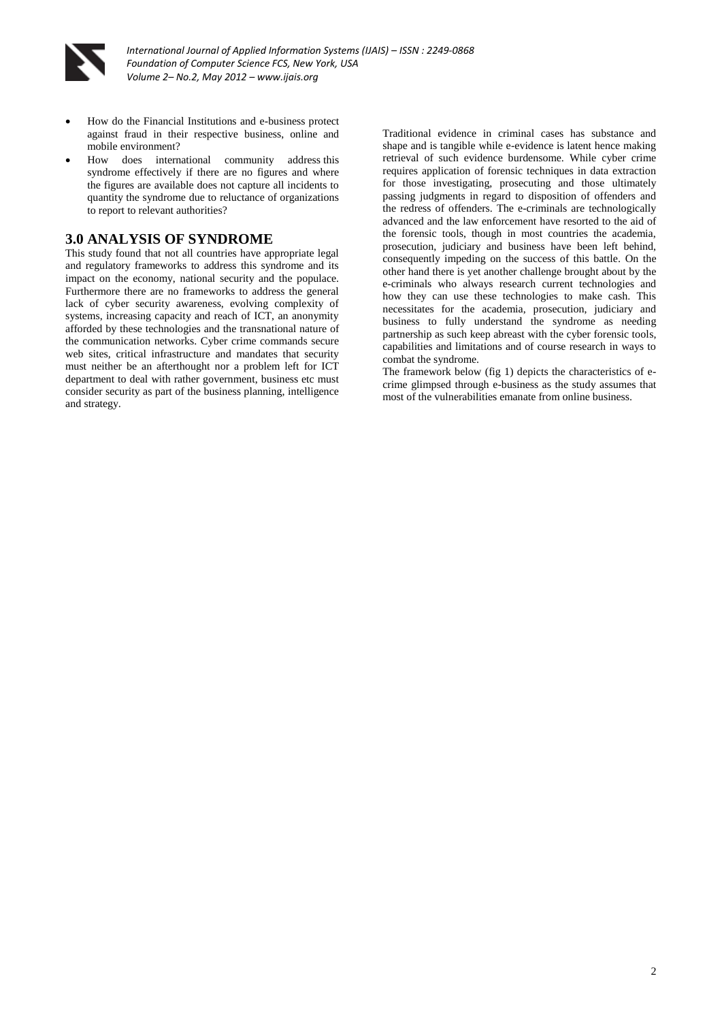

- How do the Financial Institutions and e-business protect against fraud in their respective business, online and mobile environment?
- How does international community address this syndrome effectively if there are no figures and where the figures are available does not capture all incidents to quantity the syndrome due to reluctance of organizations to report to relevant authorities?

#### **3.0 ANALYSIS OF SYNDROME**

This study found that not all countries have appropriate legal and regulatory frameworks to address this syndrome and its impact on the economy, national security and the populace. Furthermore there are no frameworks to address the general lack of cyber security awareness, evolving complexity of systems, increasing capacity and reach of ICT, an anonymity afforded by these technologies and the transnational nature of the communication networks. Cyber crime commands secure web sites, critical infrastructure and mandates that security must neither be an afterthought nor a problem left for ICT department to deal with rather government, business etc must consider security as part of the business planning, intelligence and strategy.

Traditional evidence in criminal cases has substance and shape and is tangible while e-evidence is latent hence making retrieval of such evidence burdensome. While cyber crime requires application of forensic techniques in data extraction for those investigating, prosecuting and those ultimately passing judgments in regard to disposition of offenders and the redress of offenders. The e-criminals are technologically advanced and the law enforcement have resorted to the aid of the forensic tools, though in most countries the academia, prosecution, judiciary and business have been left behind, consequently impeding on the success of this battle. On the other hand there is yet another challenge brought about by the e-criminals who always research current technologies and how they can use these technologies to make cash. This necessitates for the academia, prosecution, judiciary and business to fully understand the syndrome as needing partnership as such keep abreast with the cyber forensic tools, capabilities and limitations and of course research in ways to combat the syndrome.

The framework below (fig 1) depicts the characteristics of ecrime glimpsed through e-business as the study assumes that most of the vulnerabilities emanate from online business.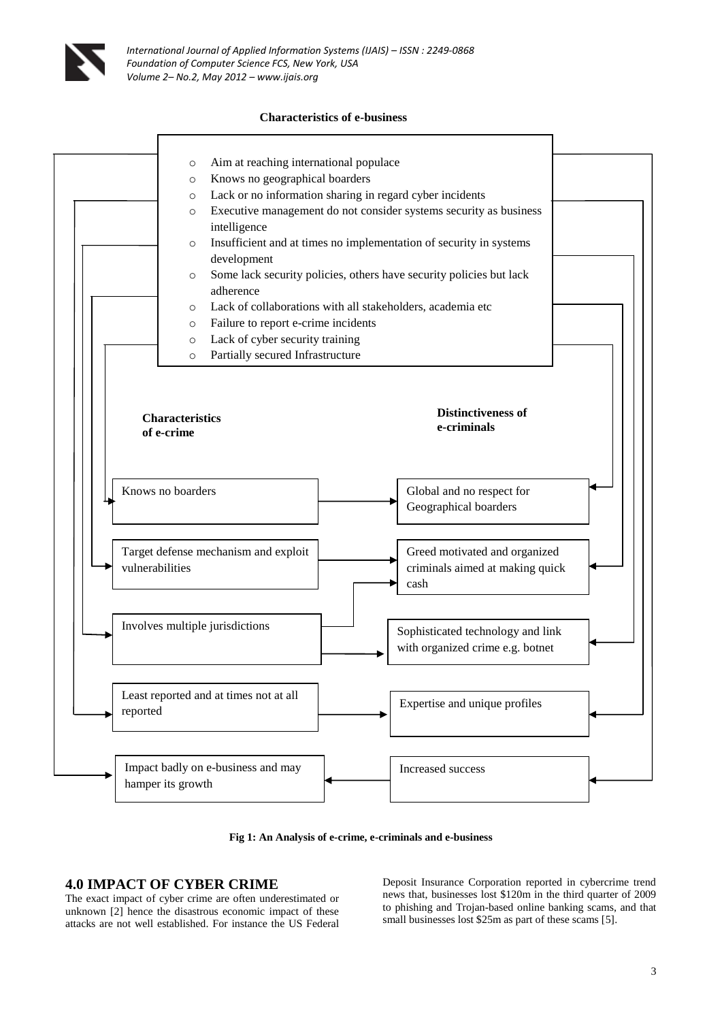

#### **Characteristics of e-business**





# **4.0 IMPACT OF CYBER CRIME**

The exact impact of cyber crime are often underestimated or unknown [2] hence the disastrous economic impact of these attacks are not well established. For instance the US Federal

Deposit Insurance Corporation reported in cybercrime trend news that, businesses lost \$120m in the third quarter of 2009 to phishing and Trojan-based online banking scams, and that small businesses lost \$25m as part of these scams [5].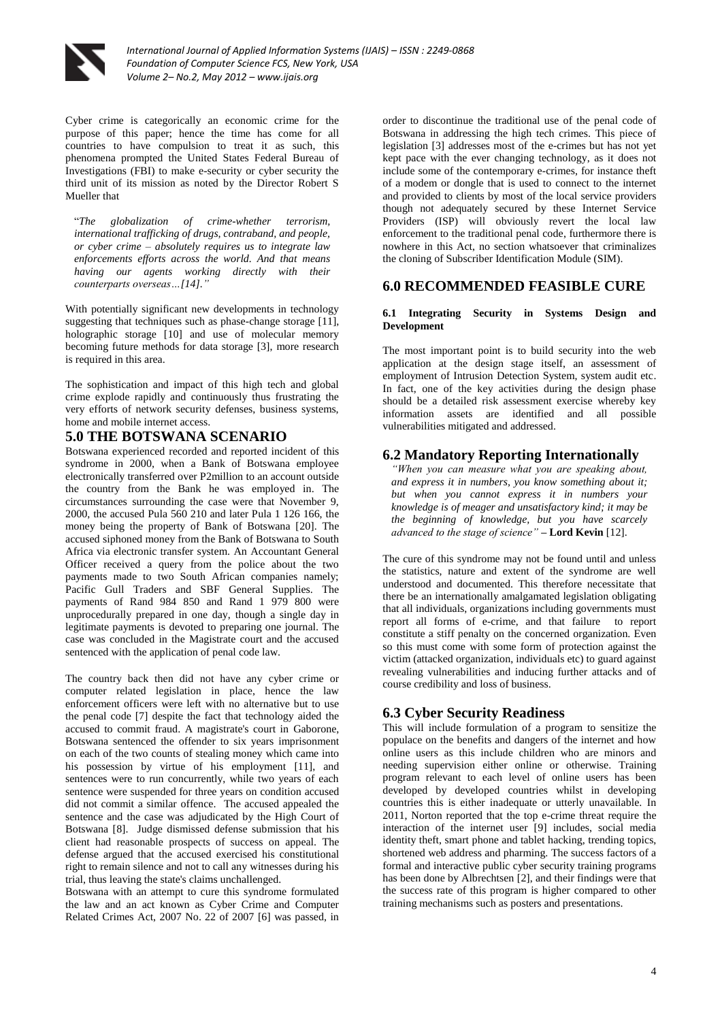

Cyber crime is categorically an economic crime for the purpose of this paper; hence the time has come for all countries to have compulsion to treat it as such, this phenomena prompted the United States Federal Bureau of Investigations (FBI) to make e-security or cyber security the third unit of its mission as noted by the Director Robert S Mueller that

"*The globalization of crime-whether terrorism, international trafficking of drugs, contraband, and people, or cyber crime – absolutely requires us to integrate law enforcements efforts across the world. And that means having our agents working directly with their counterparts overseas…[14]."*

With potentially significant new developments in technology suggesting that techniques such as phase-change storage [11], holographic storage [10] and use of molecular memory becoming future methods for data storage [3], more research is required in this area.

The sophistication and impact of this high tech and global crime explode rapidly and continuously thus frustrating the very efforts of network security defenses, business systems, home and mobile internet access.

#### **5.0 THE BOTSWANA SCENARIO**

Botswana experienced recorded and reported incident of this syndrome in 2000, when a Bank of Botswana employee electronically transferred over P2million to an account outside the country from the Bank he was employed in. The circumstances surrounding the case were that November 9, 2000, the accused Pula 560 210 and later Pula 1 126 166, the money being the property of Bank of Botswana [20]. The accused siphoned money from the Bank of Botswana to South Africa via electronic transfer system. An Accountant General Officer received a query from the police about the two payments made to two South African companies namely; Pacific Gull Traders and SBF General Supplies. The payments of Rand 984 850 and Rand 1 979 800 were unprocedurally prepared in one day, though a single day in legitimate payments is devoted to preparing one journal. The case was concluded in the Magistrate court and the accused sentenced with the application of penal code law.

The country back then did not have any cyber crime or computer related legislation in place, hence the law enforcement officers were left with no alternative but to use the penal code [7] despite the fact that technology aided the accused to commit fraud. A magistrate's court in Gaborone, Botswana sentenced the offender to six years imprisonment on each of the two counts of stealing money which came into his possession by virtue of his employment [11], and sentences were to run concurrently, while two years of each sentence were suspended for three years on condition accused did not commit a similar offence. The accused appealed the sentence and the case was adjudicated by the High Court of Botswana [8]. Judge dismissed defense submission that his client had reasonable prospects of success on appeal. The defense argued that the accused exercised his constitutional right to remain silence and not to call any witnesses during his trial, thus leaving the state's claims unchallenged.

Botswana with an attempt to cure this syndrome formulated the law and an act known as Cyber Crime and Computer Related Crimes Act, 2007 No. 22 of 2007 [6] was passed, in order to discontinue the traditional use of the penal code of Botswana in addressing the high tech crimes. This piece of legislation [3] addresses most of the e-crimes but has not yet kept pace with the ever changing technology, as it does not include some of the contemporary e-crimes, for instance theft of a modem or dongle that is used to connect to the internet and provided to clients by most of the local service providers though not adequately secured by these Internet Service Providers (ISP) will obviously revert the local law enforcement to the traditional penal code, furthermore there is nowhere in this Act, no section whatsoever that criminalizes the cloning of Subscriber Identification Module (SIM).

#### **6.0 RECOMMENDED FEASIBLE CURE**

#### **6.1 Integrating Security in Systems Design and Development**

The most important point is to build security into the web application at the design stage itself, an assessment of employment of Intrusion Detection System, system audit etc. In fact, one of the key activities during the design phase should be a detailed risk assessment exercise whereby key information assets are identified and all possible vulnerabilities mitigated and addressed.

### **6.2 Mandatory Reporting Internationally**

*"When you can measure what you are speaking about, and express it in numbers, you know something about it; but when you cannot express it in numbers your knowledge is of meager and unsatisfactory kind; it may be the beginning of knowledge, but you have scarcely advanced to the stage of science"* **– Lord Kevin** [12].

The cure of this syndrome may not be found until and unless the statistics, nature and extent of the syndrome are well understood and documented. This therefore necessitate that there be an internationally amalgamated legislation obligating that all individuals, organizations including governments must report all forms of e-crime, and that failure to report constitute a stiff penalty on the concerned organization. Even so this must come with some form of protection against the victim (attacked organization, individuals etc) to guard against revealing vulnerabilities and inducing further attacks and of course credibility and loss of business.

# **6.3 Cyber Security Readiness**

This will include formulation of a program to sensitize the populace on the benefits and dangers of the internet and how online users as this include children who are minors and needing supervision either online or otherwise. Training program relevant to each level of online users has been developed by developed countries whilst in developing countries this is either inadequate or utterly unavailable. In 2011, Norton reported that the top e-crime threat require the interaction of the internet user [9] includes, social media identity theft, smart phone and tablet hacking, trending topics, shortened web address and pharming. The success factors of a formal and interactive public cyber security training programs has been done by Albrechtsen [2], and their findings were that the success rate of this program is higher compared to other training mechanisms such as posters and presentations.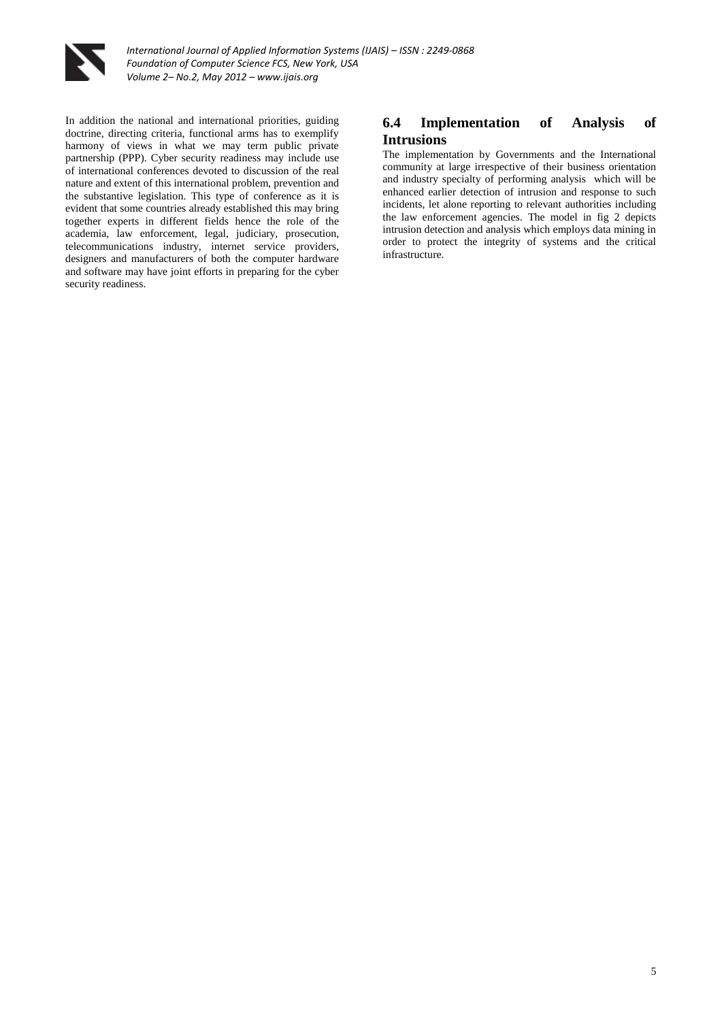

*International Journal of Applied Information Systems (IJAIS) – ISSN : 2249-0868 Foundation of Computer Science FCS, New York, USA Volume 2– No.2, May 2012 – www.ijais.org*

In addition the national and international priorities, guiding doctrine, directing criteria, functional arms has to exemplify harmony of views in what we may term public private partnership (PPP). Cyber security readiness may include use of international conferences devoted to discussion of the real nature and extent of this international problem, prevention and the substantive legislation. This type of conference as it is evident that some countries already established this may bring together experts in different fields hence the role of the academia, law enforcement, legal, judiciary, prosecution, telecommunications industry, internet service providers, designers and manufacturers of both the computer hardware and software may have joint efforts in preparing for the cyber security readiness.

## **6.4 Implementation of Analysis of Intrusions**

The implementation by Governments and the International community at large irrespective of their business orientation and industry specialty of performing analysis which will be enhanced earlier detection of intrusion and response to such incidents, let alone reporting to relevant authorities including the law enforcement agencies. The model in fig 2 depicts intrusion detection and analysis which employs data mining in order to protect the integrity of systems and the critical infrastructure.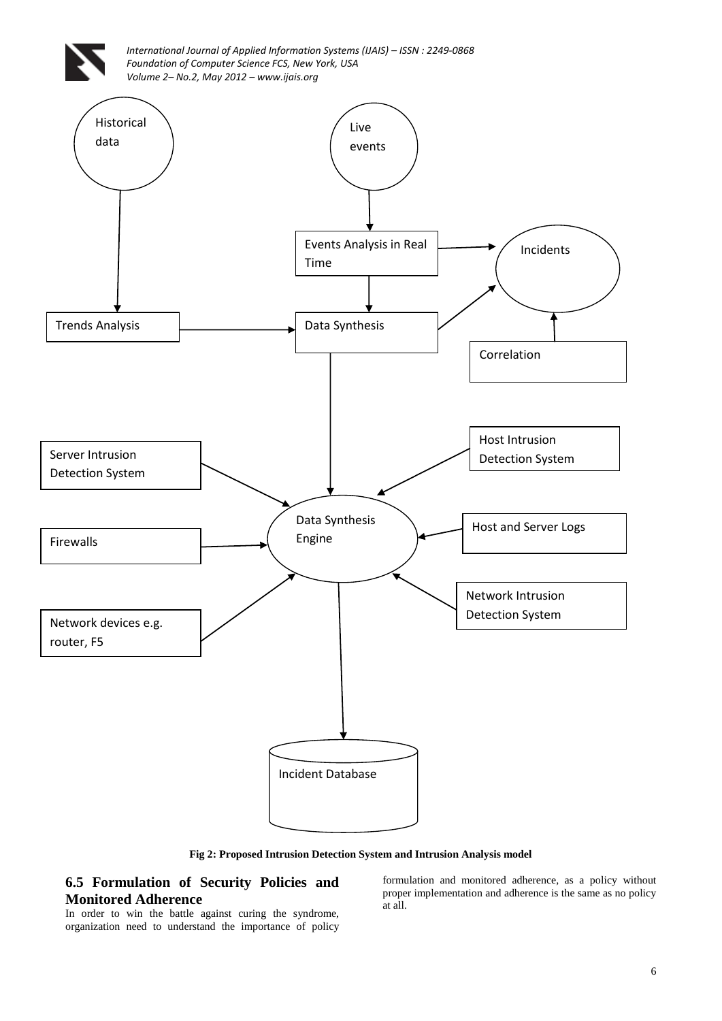

**Fig 2: Proposed Intrusion Detection System and Intrusion Analysis model**

**6.5 Formulation of Security Policies and Monitored Adherence**

In order to win the battle against curing the syndrome, organization need to understand the importance of policy formulation and monitored adherence, as a policy without proper implementation and adherence is the same as no policy at all.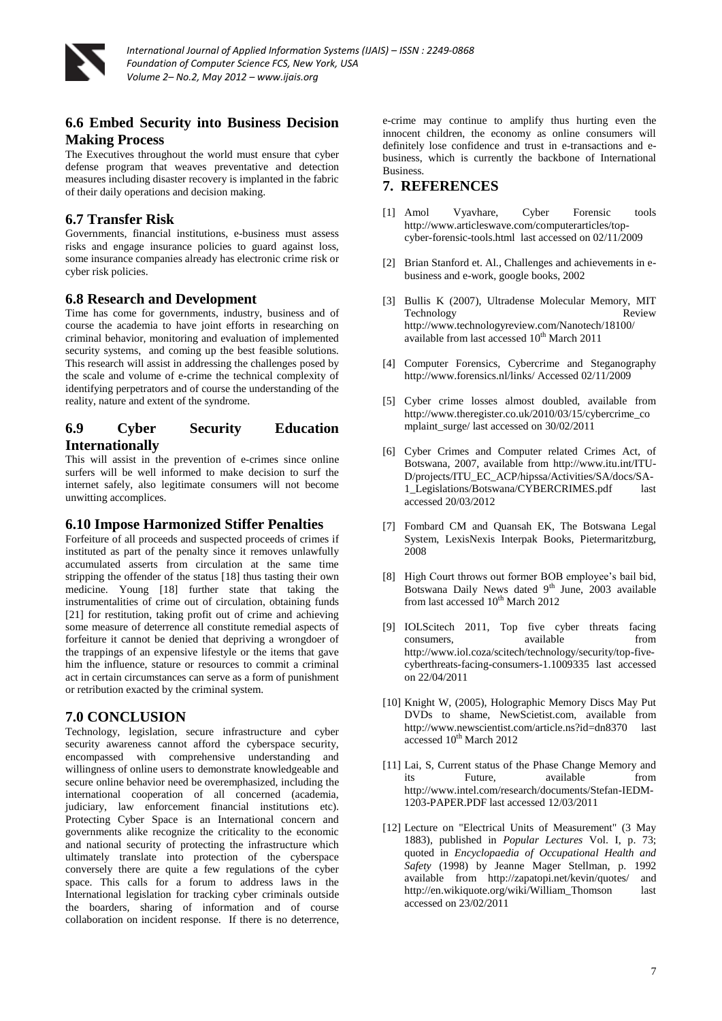

# **6.6 Embed Security into Business Decision Making Process**

The Executives throughout the world must ensure that cyber defense program that weaves preventative and detection measures including disaster recovery is implanted in the fabric of their daily operations and decision making.

# **6.7 Transfer Risk**

Governments, financial institutions, e-business must assess risks and engage insurance policies to guard against loss, some insurance companies already has electronic crime risk or cyber risk policies.

### **6.8 Research and Development**

Time has come for governments, industry, business and of course the academia to have joint efforts in researching on criminal behavior, monitoring and evaluation of implemented security systems, and coming up the best feasible solutions. This research will assist in addressing the challenges posed by the scale and volume of e-crime the technical complexity of identifying perpetrators and of course the understanding of the reality, nature and extent of the syndrome.

#### **6.9 Cyber Security Education Internationally**

This will assist in the prevention of e-crimes since online surfers will be well informed to make decision to surf the internet safely, also legitimate consumers will not become unwitting accomplices.

### **6.10 Impose Harmonized Stiffer Penalties**

Forfeiture of all proceeds and suspected proceeds of crimes if instituted as part of the penalty since it removes unlawfully accumulated asserts from circulation at the same time stripping the offender of the status [18] thus tasting their own medicine. Young [18] further state that taking the instrumentalities of crime out of circulation, obtaining funds [21] for restitution, taking profit out of crime and achieving some measure of deterrence all constitute remedial aspects of forfeiture it cannot be denied that depriving a wrongdoer of the trappings of an expensive lifestyle or the items that gave him the influence, stature or resources to commit a criminal act in certain circumstances can serve as a form of punishment or retribution exacted by the criminal system.

### **7.0 CONCLUSION**

Technology, legislation, secure infrastructure and cyber security awareness cannot afford the cyberspace security, encompassed with comprehensive understanding and willingness of online users to demonstrate knowledgeable and secure online behavior need be overemphasized, including the international cooperation of all concerned (academia, judiciary, law enforcement financial institutions etc). Protecting Cyber Space is an International concern and governments alike recognize the criticality to the economic and national security of protecting the infrastructure which ultimately translate into protection of the cyberspace conversely there are quite a few regulations of the cyber space. This calls for a forum to address laws in the International legislation for tracking cyber criminals outside the boarders, sharing of information and of course collaboration on incident response. If there is no deterrence, e-crime may continue to amplify thus hurting even the innocent children, the economy as online consumers will definitely lose confidence and trust in e-transactions and ebusiness, which is currently the backbone of International Business.

### **7. REFERENCES**

- [1] Amol Vyavhare, Cyber Forensic tools http://www.articleswave.com/computerarticles/topcyber-forensic-tools.html last accessed on 02/11/2009
- [2] Brian Stanford et. Al., Challenges and achievements in ebusiness and e-work, google books, 2002
- [3] Bullis K (2007), Ultradense Molecular Memory, MIT Technology Review http://www.technologyreview.com/Nanotech/18100/ available from last accessed  $10^{th}$  March 2011
- [4] Computer Forensics, Cybercrime and Steganography http://www.forensics.nl/links/ Accessed 02/11/2009
- [5] Cyber crime losses almost doubled, available from http://www.theregister.co.uk/2010/03/15/cybercrime\_co mplaint\_surge/ last accessed on 30/02/2011
- [6] Cyber Crimes and Computer related Crimes Act, of Botswana, 2007, available from http://www.itu.int/ITU-D/projects/ITU\_EC\_ACP/hipssa/Activities/SA/docs/SA-1\_Legislations/Botswana/CYBERCRIMES.pdf last accessed 20/03/2012
- [7] Fombard CM and Quansah EK, The Botswana Legal System, LexisNexis Interpak Books, Pietermaritzburg, 2008
- [8] High Court throws out former BOB employee's bail bid, Botswana Daily News dated 9<sup>th</sup> June, 2003 available from last accessed 10<sup>th</sup> March 2012
- [9] IOLScitech 2011, Top five cyber threats facing consumers, available from http://www.iol.coza/scitech/technology/security/top-fivecyberthreats-facing-consumers-1.1009335 last accessed on 22/04/2011
- [10] Knight W, (2005), Holographic Memory Discs May Put DVDs to shame, NewScietist.com, available from http://www.newscientist.com/article.ns?id=dn8370 last accessed  $10^{th}$  March 2012
- [11] Lai, S, Current status of the Phase Change Memory and its Future, available from http://www.intel.com/research/documents/Stefan-IEDM-1203-PAPER.PDF last accessed 12/03/2011
- [12] Lecture on "Electrical Units of Measurement" (3 May 1883), published in *Popular Lectures* Vol. I, p. 73; quoted in *Encyclopaedia of Occupational Health and Safety* (1998) by Jeanne Mager Stellman, p. 1992 available from http://zapatopi.net/kevin/quotes/ and http://en.wikiquote.org/wiki/William\_Thomson last accessed on 23/02/2011